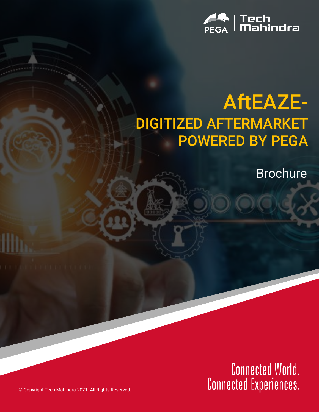

## AftEAZE-DIGITIZED AFTERMARKET POWERED BY PEGA

Brochure

Connected World.<br>Connected Experiences.

© Copyright Tech Mahindra 2021. All Rights Reserved.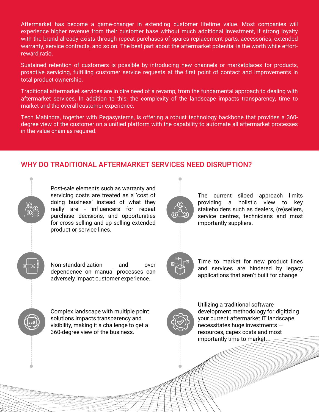Aftermarket has become a game-changer in extending customer lifetime value. Most companies will experience higher revenue from their customer base without much additional investment, if strong loyalty with the brand already exists through repeat purchases of spares replacement parts, accessories, extended warranty, service contracts, and so on. The best part about the aftermarket potential is the worth while effortreward ratio.

Sustained retention of customers is possible by introducing new channels or marketplaces for products, proactive servicing, fulfilling customer service requests at the first point of contact and improvements in total product ownership.

Traditional aftermarket services are in dire need of a revamp, from the fundamental approach to dealing with aftermarket services. In addition to this, the complexity of the landscape impacts transparency, time to market and the overall customer experience.

Tech Mahindra, together with Pegasystems, is offering a robust technology backbone that provides a 360 degree view of the customer on a unified platform with the capability to automate all aftermarket processes in the value chain as required.

## WHY DO TRADITIONAL AFTERMARKET SERVICES NEED DISRUPTION?

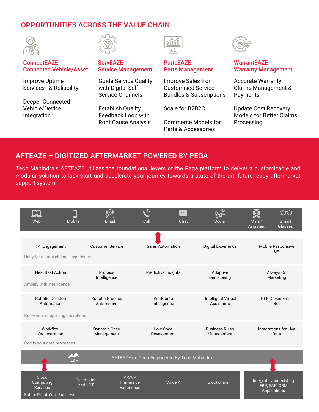## OPPORTUNITIES ACROSS THE VALUE CHAIN





#### **ConnectEAZE** Connected Vehicle/Asset

Improve Uptime Services & Reliability

Deeper Connected Vehicle/Device Integration

#### **ServEAZE** Service Management

Guide Service Quality with Digital Self Service Channels

Establish Quality Feedback Loop with Root Cause Analysis



#### PartsEAZE Parts Management

Improve Sales from Customised Service Bundles & Subscriptions

Scale for B2B2C

Commerce Models for Parts & Accessories



#### **WarrantEAZE** Warranty Management

Accurate Warranty Claims Management & Payments

Update Cost Recovery Models for Better Claims Processing

### AFTEAZE – DIGITIZED AFTERMARKET POWERED BY PEGA

Tech Mahindra's AFTEAZE utilizes the foundational levers of the Pega platform to deliver a customizable and modular solution to kick-start and accelerate your journey towards a state of the art, future-ready aftermarket support system.

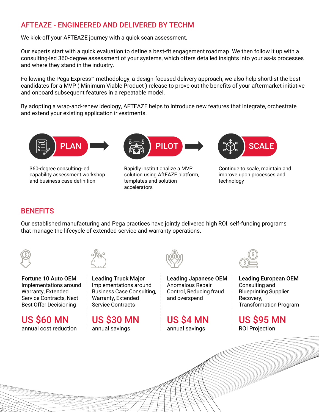## AFTEAZE - ENGINEERED AND DELIVERED BY TECHM

We kick-off your AFTEAZE journey with a quick scan assessment.

Our experts start with a quick evaluation to define a best-fit engagement roadmap. We then follow it up with a consulting-led 360-degree assessment of your systems, which offers detailed insights into your as-is processes and where they stand in the industry.

Following the Pega Express™ methodology, a design-focused delivery approach, we also help shortlist the best candidates for a MVP ( Minimum Viable Product ) release to prove out the benefits of your aftermarket initiative and onboard subsequent features in a repeatable model.

By adopting a wrap-and-renew ideology, AFTEAZE helps to introduce new features that integrate, orchestrate and extend your existing application investments.



360-degree consulting-led capability assessment workshop and business case definition



Rapidly institutionalize a MVP solution using AftEAZE platform, templates and solution accelerators



Continue to scale, maintain and improve upon processes and technology

## **BENEFITS**

Our established manufacturing and Pega practices have jointly delivered high ROI, self-funding programs that manage the lifecycle of extended service and warranty operations.





Fortune 10 Auto OEM Implementations around Warranty, Extended Service Contracts, Next Best Offer Decisioning

US \$60 MN annual cost reduction

Leading Truck Major Implementations around Business Case Consulting, Warranty, Extended Service Contracts

US \$30 MN annual savings



Leading Japanese OEM Anomalous Repair Control, Reducing fraud and overspend

US \$4 MN annual savings



Leading European OEM Consulting and Blueprinting Supplier Recovery, Transformation Program

US \$95 MN ROI Projection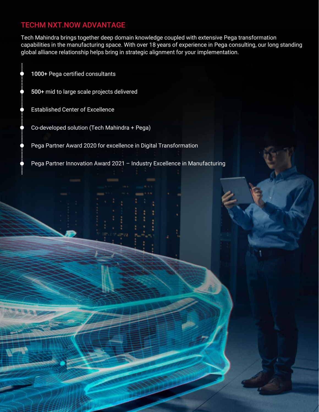## TECHM NXT.NOW ADVANTAGE

Tech Mahindra brings together deep domain knowledge coupled with extensive Pega transformation capabilities in the manufacturing space. With over 18 years of experience in Pega consulting, our long standing global alliance relationship helps bring in strategic alignment for your implementation.

- 1000+ Pega certified consultants
- 500+ mid to large scale projects delivered
- Established Center of Excellence
- Co-developed solution (Tech Mahindra + Pega)
- Pega Partner Award 2020 for excellence in Digital Transformation

Pega Partner Innovation Award 2021 – Industry Excellence in Manufacturing